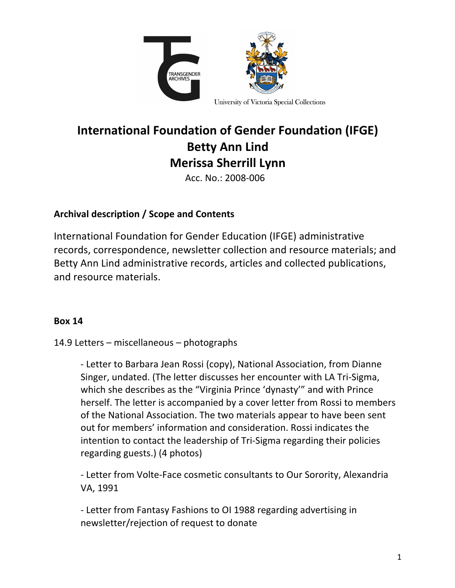

# **International Foundation of Gender Foundation (IFGE) Betty Ann Lind Merissa Sherrill Lynn**

Acc. No.: 2008-006

## Archival description / Scope and Contents

International Foundation for Gender Education (IFGE) administrative records, correspondence, newsletter collection and resource materials; and Betty Ann Lind administrative records, articles and collected publications, and resource materials.

### **Box 14**

### 14.9 Letters  $-$  miscellaneous  $-$  photographs

- Letter to Barbara Jean Rossi (copy), National Association, from Dianne Singer, undated. (The letter discusses her encounter with LA Tri-Sigma, which she describes as the "Virginia Prince 'dynasty'" and with Prince herself. The letter is accompanied by a cover letter from Rossi to members of the National Association. The two materials appear to have been sent out for members' information and consideration. Rossi indicates the intention to contact the leadership of Tri-Sigma regarding their policies regarding guests.) (4 photos)

- Letter from Volte-Face cosmetic consultants to Our Sorority, Alexandria VA, 1991

- Letter from Fantasy Fashions to OI 1988 regarding advertising in newsletter/rejection of request to donate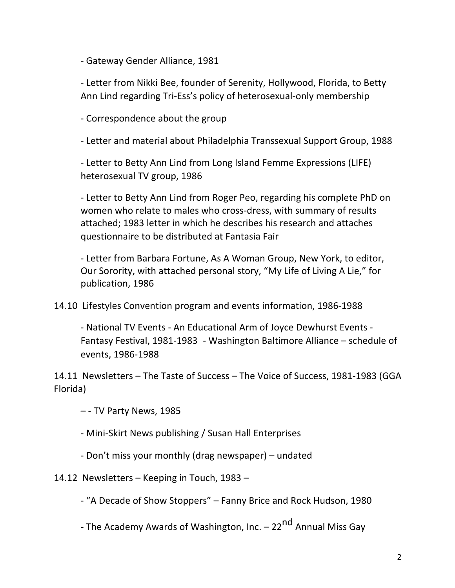- Gateway Gender Alliance, 1981

- Letter from Nikki Bee, founder of Serenity, Hollywood, Florida, to Betty Ann Lind regarding Tri-Ess's policy of heterosexual-only membership

- Correspondence about the group

- Letter and material about Philadelphia Transsexual Support Group, 1988

- Letter to Betty Ann Lind from Long Island Femme Expressions (LIFE) heterosexual TV group, 1986

- Letter to Betty Ann Lind from Roger Peo, regarding his complete PhD on women who relate to males who cross-dress, with summary of results attached; 1983 letter in which he describes his research and attaches questionnaire to be distributed at Fantasia Fair

- Letter from Barbara Fortune, As A Woman Group, New York, to editor, Our Sorority, with attached personal story, "My Life of Living A Lie," for publication, 1986

14.10 Lifestyles Convention program and events information, 1986-1988

- National TV Events - An Educational Arm of Joyce Dewhurst Events -Fantasy Festival, 1981-1983 - Washington Baltimore Alliance  $-$  schedule of events, 1986-1988 

14.11 Newsletters - The Taste of Success - The Voice of Success, 1981-1983 (GGA Florida) 

– - TV Party News, 1985 

- Mini-Skirt News publishing / Susan Hall Enterprises

- Don't miss your monthly (drag newspaper) – undated

14.12 Newsletters – Keeping in Touch, 1983 –

- "A Decade of Show Stoppers" – Fanny Brice and Rock Hudson, 1980

- The Academy Awards of Washington, Inc. – 22<sup>nd</sup> Annual Miss Gay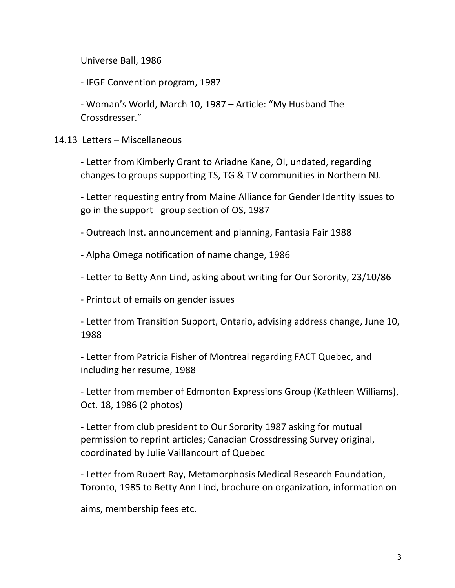Universe Ball, 1986

- IFGE Convention program, 1987

- Woman's World, March 10, 1987 - Article: "My Husband The Crossdresser." 

#### 14.13 Letters – Miscellaneous

- Letter from Kimberly Grant to Ariadne Kane, OI, undated, regarding changes to groups supporting TS, TG & TV communities in Northern NJ.

- Letter requesting entry from Maine Alliance for Gender Identity Issues to go in the support group section of OS, 1987

- Outreach Inst. announcement and planning, Fantasia Fair 1988

- Alpha Omega notification of name change, 1986

- Letter to Betty Ann Lind, asking about writing for Our Sorority, 23/10/86

- Printout of emails on gender issues

- Letter from Transition Support, Ontario, advising address change, June 10, 1988

- Letter from Patricia Fisher of Montreal regarding FACT Quebec, and including her resume, 1988

- Letter from member of Edmonton Expressions Group (Kathleen Williams), Oct. 18, 1986 (2 photos)

- Letter from club president to Our Sorority 1987 asking for mutual permission to reprint articles; Canadian Crossdressing Survey original, coordinated by Julie Vaillancourt of Quebec

- Letter from Rubert Ray, Metamorphosis Medical Research Foundation, Toronto, 1985 to Betty Ann Lind, brochure on organization, information on

aims, membership fees etc.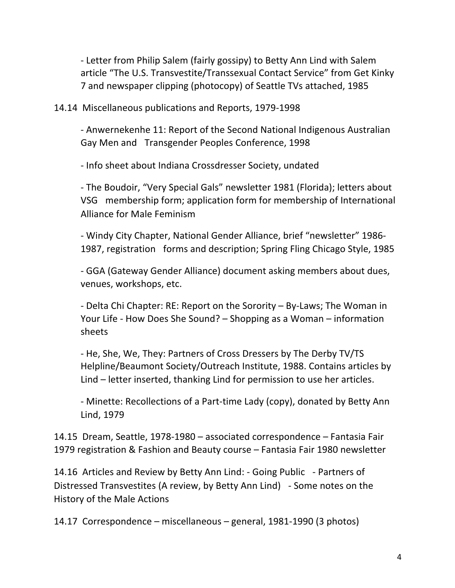- Letter from Philip Salem (fairly gossipy) to Betty Ann Lind with Salem article "The U.S. Transvestite/Transsexual Contact Service" from Get Kinky 7 and newspaper clipping (photocopy) of Seattle TVs attached, 1985

14.14 Miscellaneous publications and Reports, 1979-1998

- Anwernekenhe 11: Report of the Second National Indigenous Australian Gay Men and Transgender Peoples Conference, 1998

- Info sheet about Indiana Crossdresser Society, undated

- The Boudoir, "Very Special Gals" newsletter 1981 (Florida); letters about VSG membership form; application form for membership of International Alliance for Male Feminism

- Windy City Chapter, National Gender Alliance, brief "newsletter" 1986-1987, registration forms and description; Spring Fling Chicago Style, 1985

- GGA (Gateway Gender Alliance) document asking members about dues, venues, workshops, etc.

- Delta Chi Chapter: RE: Report on the Sorority – By-Laws; The Woman in Your Life - How Does She Sound?  $-$  Shopping as a Woman  $-$  information sheets

- He, She, We, They: Partners of Cross Dressers by The Derby TV/TS Helpline/Beaumont Society/Outreach Institute, 1988. Contains articles by Lind  $-$  letter inserted, thanking Lind for permission to use her articles.

- Minette: Recollections of a Part-time Lady (copy), donated by Betty Ann Lind, 1979

14.15 Dream, Seattle, 1978-1980 - associated correspondence - Fantasia Fair 1979 registration & Fashion and Beauty course – Fantasia Fair 1980 newsletter

14.16 Articles and Review by Betty Ann Lind: - Going Public - Partners of Distressed Transvestites (A review, by Betty Ann Lind) - Some notes on the History of the Male Actions

14.17 Correspondence – miscellaneous – general, 1981-1990 (3 photos)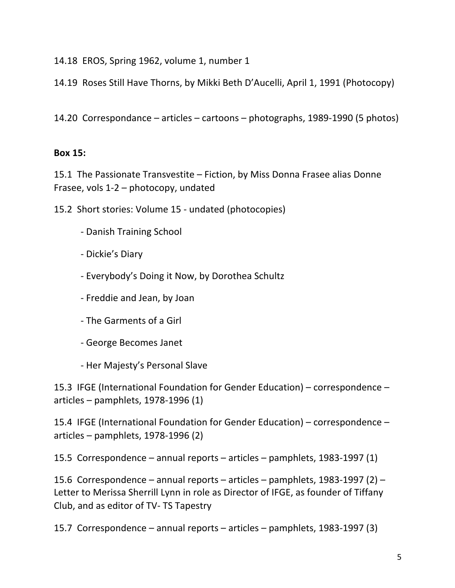14.18 EROS, Spring 1962, volume 1, number 1

14.19 Roses Still Have Thorns, by Mikki Beth D'Aucelli, April 1, 1991 (Photocopy)

14.20 Correspondance – articles – cartoons – photographs, 1989-1990 (5 photos)

### **Box 15:**

15.1 The Passionate Transvestite – Fiction, by Miss Donna Frasee alias Donne Frasee, vols  $1-2$  – photocopy, undated

15.2 Short stories: Volume 15 - undated (photocopies)

- Danish Training School
- Dickie's Diary
- Everybody's Doing it Now, by Dorothea Schultz
- Freddie and Jean, by Joan
- The Garments of a Girl
- George Becomes Janet
- Her Majesty's Personal Slave

15.3 IFGE (International Foundation for Gender Education) – correspondence – articles – pamphlets, 1978-1996 $(1)$ 

15.4 IFGE (International Foundation for Gender Education) – correspondence –  $articles - pamphlets, 1978-1996 (2)$ 

15.5 Correspondence – annual reports – articles – pamphlets, 1983-1997 (1)

15.6 Correspondence – annual reports – articles – pamphlets, 1983-1997 (2) – Letter to Merissa Sherrill Lynn in role as Director of IFGE, as founder of Tiffany Club, and as editor of TV- TS Tapestry

15.7 Correspondence – annual reports – articles – pamphlets, 1983-1997 (3)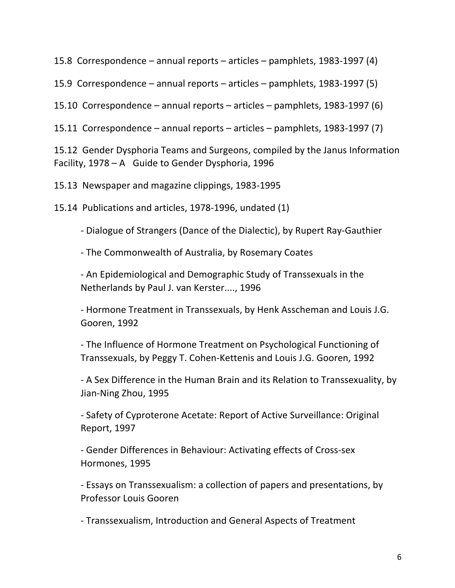15.8 Correspondence  $-$  annual reports  $-$  articles  $-$  pamphlets, 1983-1997 (4)

15.9 Correspondence – annual reports – articles – pamphlets, 1983-1997 (5)

15.10 Correspondence – annual reports – articles – pamphlets, 1983-1997 (6)

15.11 Correspondence – annual reports – articles – pamphlets, 1983-1997 (7)

15.12 Gender Dysphoria Teams and Surgeons, compiled by the Janus Information Facility,  $1978 - A$  Guide to Gender Dysphoria, 1996

15.13 Newspaper and magazine clippings, 1983-1995

15.14 Publications and articles, 1978-1996, undated (1)

- Dialogue of Strangers (Dance of the Dialectic), by Rupert Ray-Gauthier

- The Commonwealth of Australia, by Rosemary Coates

- An Epidemiological and Demographic Study of Transsexuals in the Netherlands by Paul J. van Kerster...., 1996

- Hormone Treatment in Transsexuals, by Henk Asscheman and Louis J.G. Gooren, 1992

- The Influence of Hormone Treatment on Psychological Functioning of Transsexuals, by Peggy T. Cohen-Kettenis and Louis J.G. Gooren, 1992

- A Sex Difference in the Human Brain and its Relation to Transsexuality, by Jian-Ning Zhou, 1995

- Safety of Cyproterone Acetate: Report of Active Surveillance: Original Report, 1997

- Gender Differences in Behaviour: Activating effects of Cross-sex Hormones, 1995

- Essays on Transsexualism: a collection of papers and presentations, by Professor Louis Gooren

- Transsexualism, Introduction and General Aspects of Treatment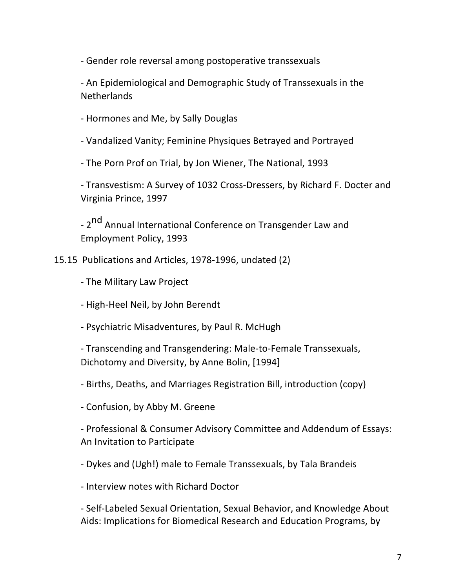- Gender role reversal among postoperative transsexuals

- An Epidemiological and Demographic Study of Transsexuals in the Netherlands

- Hormones and Me, by Sally Douglas

- Vandalized Vanity; Feminine Physiques Betrayed and Portrayed

- The Porn Prof on Trial, by Jon Wiener, The National, 1993

- Transvestism: A Survey of 1032 Cross-Dressers, by Richard F. Docter and Virginia Prince, 1997

- 2<sup>nd</sup> Annual International Conference on Transgender Law and Employment Policy, 1993

15.15 Publications and Articles, 1978-1996, undated (2)

- The Military Law Project
- High-Heel Neil, by John Berendt
- Psychiatric Misadventures, by Paul R. McHugh

- Transcending and Transgendering: Male-to-Female Transsexuals, Dichotomy and Diversity, by Anne Bolin, [1994]

- Births, Deaths, and Marriages Registration Bill, introduction (copy)
- Confusion, by Abby M. Greene

- Professional & Consumer Advisory Committee and Addendum of Essays: An Invitation to Participate

- Dykes and (Ugh!) male to Female Transsexuals, by Tala Brandeis

- Interview notes with Richard Doctor

- Self-Labeled Sexual Orientation, Sexual Behavior, and Knowledge About Aids: Implications for Biomedical Research and Education Programs, by